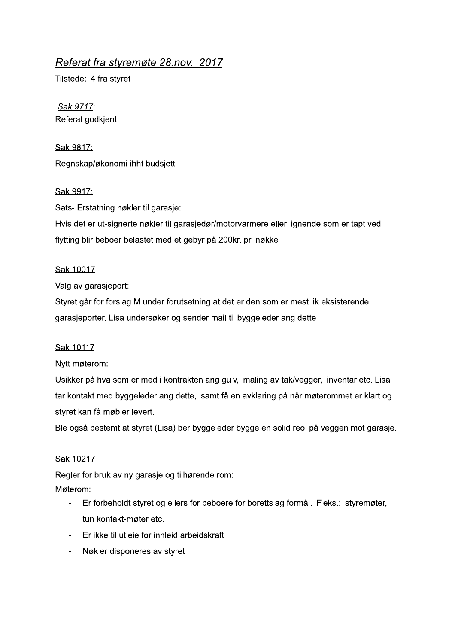# Referat fra styremøte 28.nov. 2017

Tilstede: 4 fra styret

Sak 9717: Referat godkjent

Sak 9817: Regnskap/økonomi ihht budsjett

#### Sak 9917:

Sats- Erstatning nøkler til garasje:

Hvis det er ut-signerte nøkler til garasjedør/motorvarmere eller lignende som er tapt ved flytting blir beboer belastet med et gebyr på 200kr. pr. nøkkel

#### Sak 10017

Valg av garasjeport:

Styret går for forslag M under forutsetning at det er den som er mest lik eksisterende garasjeporter. Lisa undersøker og sender mail til byggeleder ang dette

#### Sak 10117

Nytt møterom:

Usikker på hva som er med i kontrakten ang gulv, maling av tak/vegger, inventar etc. Lisa tar kontakt med byggeleder ang dette, samt få en avklaring på når møterommet er klart og styret kan få møbler levert.

Ble også bestemt at styret (Lisa) ber byggeleder bygge en solid reol på veggen mot garasje.

#### Sak 10217

Regler for bruk av ny garasje og tilhørende rom:

Møterom:

- Er forbeholdt styret og ellers for beboere for borettslag formål. F.eks.: styremøter,  $\omega_{\rm{max}}$ tun kontakt-møter etc.
- Er ikke til utleie for innleid arbeidskraft
- Nøkler disponeres av styret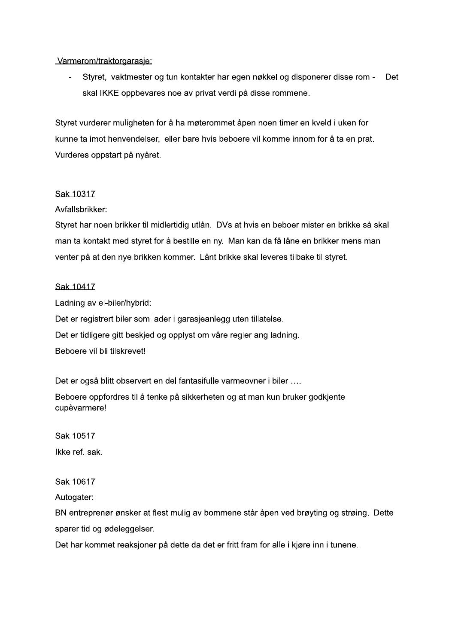### Varmerom/traktorgarasje:

 $\frac{1}{2}$ Styret, vaktmester og tun kontakter har egen nøkkel og disponerer disse rom - Det skal IKKE oppbevares noe av privat verdi på disse rommene.

Styret vurderer muligheten for å ha møterommet åpen noen timer en kveld i uken for kunne ta imot henvendelser, eller bare hvis beboere vil komme innom for å ta en prat. Vurderes oppstart på nyåret.

#### Sak 10317

## Avfallsbrikker:

Styret har noen brikker til midlertidig utlån. DVs at hvis en beboer mister en brikke så skal man ta kontakt med styret for å bestille en ny. Man kan da få låne en brikker mens man venter på at den nye brikken kommer. Lånt brikke skal leveres tilbake til styret.

#### Sak 10417

Ladning av el-biler/hybrid: Det er registrert biler som lader i garasjeanlegg uten tillatelse. Det er tidligere gitt beskjed og opplyst om våre regler ang ladning. Beboere vil bli tilskrevet!

Det er også blitt observert en del fantasifulle varmeovner i biler ....

Beboere oppfordres til å tenke på sikkerheten og at man kun bruker godkjente cupèvarmere!

#### Sak 10517

Ikke ref. sak.

#### Sak 10617

#### Autogater:

BN entreprenør ønsker at flest mulig av bommene står åpen ved brøyting og strøing. Dette sparer tid og ødeleggelser.

Det har kommet reaksjoner på dette da det er fritt fram for alle i kjøre inn i tunene.